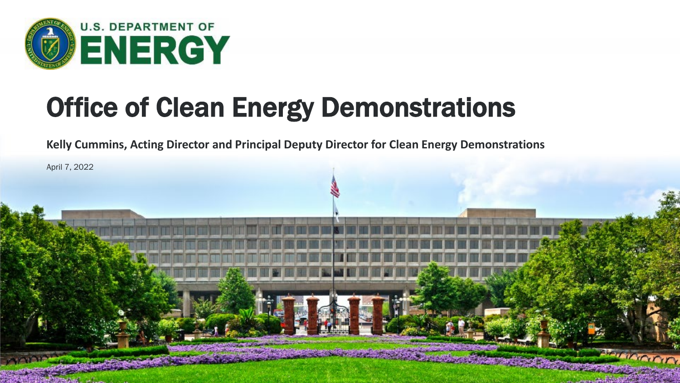

# Office of Clean Energy Demonstrations

**Kelly Cummins, Acting Director and Principal Deputy Director for Clean Energy Demonstrations**

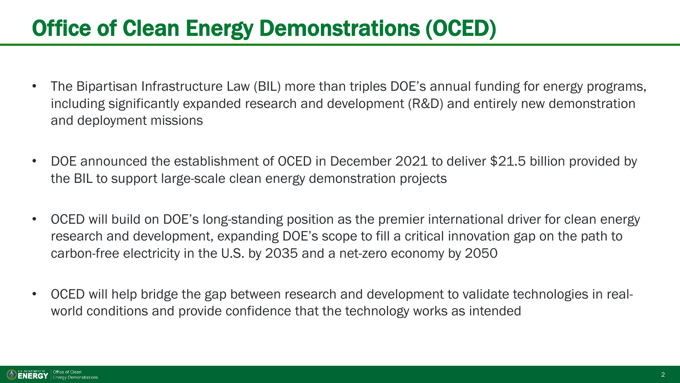## Office of Clean Energy Demonstrations (OCED)

- The Bipartisan Infrastructure Law (BIL) more than triples DOE's annual funding for energy programs, including significantly expanded research and development (R&D) and entirely new demonstration and deployment missions
- DOE announced the establishment of OCED in December 2021 to deliver \$21.5 billion provided by the BIL to support large-scale clean energy demonstration projects
- OCED will build on DOE's long-standing position as the premier international driver for clean energy research and development, expanding DOE's scope to fill a critical innovation gap on the path to carbon-free electricity in the U.S. by 2035 and a net-zero economy by 2050
- OCED will help bridge the gap between research and development to validate technologies in realworld conditions and provide confidence that the technology works as intended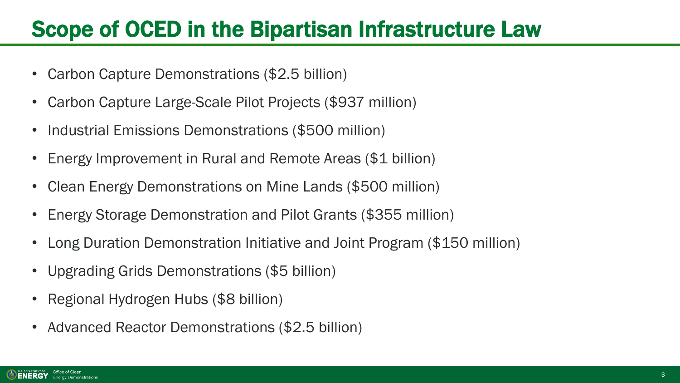### Scope of OCED in the Bipartisan Infrastructure Law

- Carbon Capture Demonstrations (\$2.5 billion)
- Carbon Capture Large-Scale Pilot Projects (\$937 million)
- Industrial Emissions Demonstrations (\$500 million)
- Energy Improvement in Rural and Remote Areas (\$1 billion)
- Clean Energy Demonstrations on Mine Lands (\$500 million)
- Energy Storage Demonstration and Pilot Grants (\$355 million)
- Long Duration Demonstration Initiative and Joint Program (\$150 million)
- Upgrading Grids Demonstrations (\$5 billion)
- Regional Hydrogen Hubs (\$8 billion)
- Advanced Reactor Demonstrations (\$2.5 billion)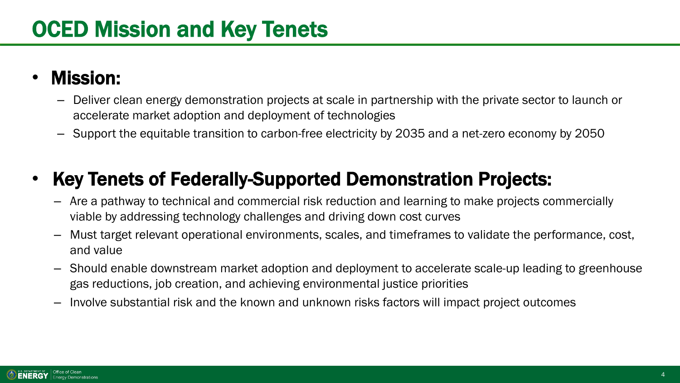#### • Mission:

- Deliver clean energy demonstration projects at scale in partnership with the private sector to launch or accelerate market adoption and deployment of technologies
- Support the equitable transition to carbon-free electricity by 2035 and a net-zero economy by 2050

### • Key Tenets of Federally-Supported Demonstration Projects:

- Are a pathway to technical and commercial risk reduction and learning to make projects commercially viable by addressing technology challenges and driving down cost curves
- Must target relevant operational environments, scales, and timeframes to validate the performance, cost, and value
- Should enable downstream market adoption and deployment to accelerate scale-up leading to greenhouse gas reductions, job creation, and achieving environmental justice priorities
- Involve substantial risk and the known and unknown risks factors will impact project outcomes